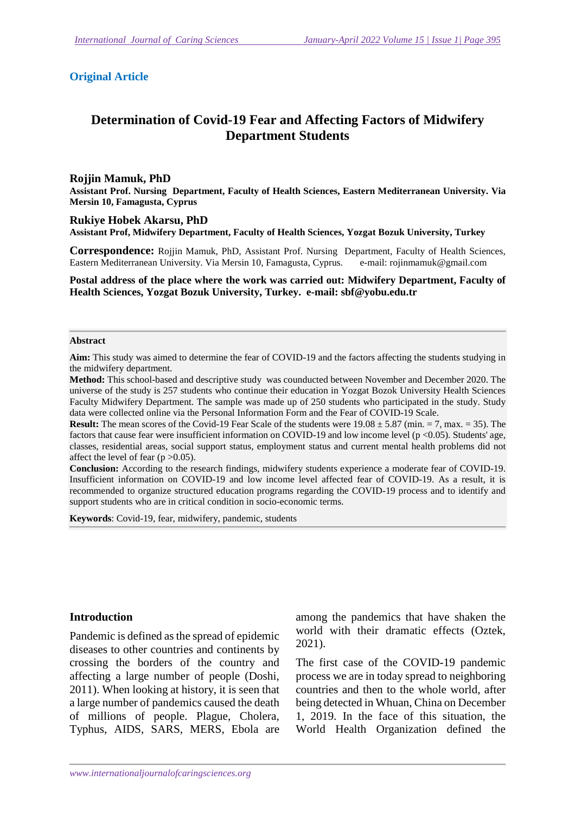#### **Original Article**

# **Determination of Covid-19 Fear and Affecting Factors of Midwifery Department Students**

#### **Rojjin Mamuk, PhD**

**Assistant Prof. Nursing Department, Faculty of Health Sciences, Eastern Mediterranean University. Via Mersin 10, Famagusta, Cyprus** 

**Rukiye Hobek Akarsu, PhD Assistant Prof, Midwifery Department, Faculty of Health Sciences, Yozgat Bozuk University, Turkey** 

**Correspondence:** Rojjin Mamuk, PhD, Assistant Prof. Nursing Department, Faculty of Health Sciences, Eastern Mediterranean University. Via Mersin 10, Famagusta, Cyprus. e-mail: rojinmamuk@gmail.com

**Postal address of the place where the work was carried out: Midwifery Department, Faculty of Health Sciences, Yozgat Bozuk University, Turkey. e-mail: sbf@yobu.edu.tr** 

#### **Abstract**

**Aim:** This study was aimed to determine the fear of COVID-19 and the factors affecting the students studying in the midwifery department.

**Method:** This school-based and descriptive study was counducted between November and December 2020. The universe of the study is 257 students who continue their education in Yozgat Bozok University Health Sciences Faculty Midwifery Department. The sample was made up of 250 students who participated in the study. Study data were collected online via the Personal Information Form and the Fear of COVID-19 Scale.

**Result:** The mean scores of the Covid-19 Fear Scale of the students were  $19.08 \pm 5.87$  (min.  $= 7$ , max.  $= 35$ ). The factors that cause fear were insufficient information on COVID-19 and low income level (p <0.05). Students' age, classes, residential areas, social support status, employment status and current mental health problems did not affect the level of fear ( $p > 0.05$ ).

**Conclusion:** According to the research findings, midwifery students experience a moderate fear of COVID-19. Insufficient information on COVID-19 and low income level affected fear of COVID-19. As a result, it is recommended to organize structured education programs regarding the COVID-19 process and to identify and support students who are in critical condition in socio-economic terms.

**Keywords**: Covid-19, fear, midwifery, pandemic, students

#### **Introduction**

Pandemic is defined as the spread of epidemic diseases to other countries and continents by crossing the borders of the country and affecting a large number of people (Doshi, 2011). When looking at history, it is seen that a large number of pandemics caused the death of millions of people. Plague, Cholera, Typhus, AIDS, SARS, MERS, Ebola are among the pandemics that have shaken the world with their dramatic effects (Oztek, 2021).

The first case of the COVID-19 pandemic process we are in today spread to neighboring countries and then to the whole world, after being detected in Whuan, China on December 1, 2019. In the face of this situation, the World Health Organization defined the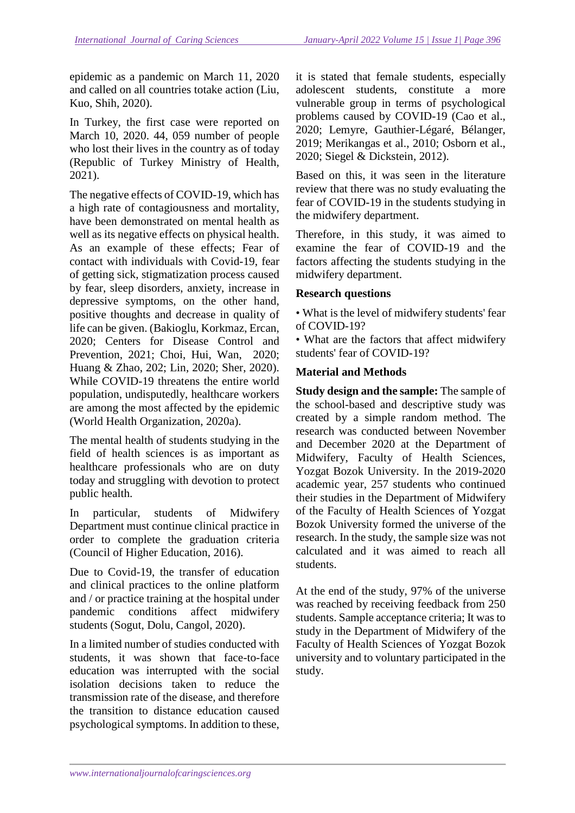epidemic as a pandemic on March 11, 2020 and called on all countries totake action (Liu, Kuo, Shih, 2020).

In Turkey, the first case were reported on March 10, 2020. 44, 059 number of people who lost their lives in the country as of today (Republic of Turkey Ministry of Health, 2021).

The negative effects of COVID-19, which has a high rate of contagiousness and mortality, have been demonstrated on mental health as well as its negative effects on physical health. As an example of these effects; Fear of contact with individuals with Covid-19, fear of getting sick, stigmatization process caused by fear, sleep disorders, anxiety, increase in depressive symptoms, on the other hand, positive thoughts and decrease in quality of life can be given. (Bakioglu, Korkmaz, Ercan, 2020; Centers for Disease Control and Prevention, 2021; Choi, Hui, Wan, 2020; Huang & Zhao, 202; Lin, 2020; Sher, 2020). While COVID-19 threatens the entire world population, undisputedly, healthcare workers are among the most affected by the epidemic (World Health Organization, 2020a).

The mental health of students studying in the field of health sciences is as important as healthcare professionals who are on duty today and struggling with devotion to protect public health.

In particular, students of Midwifery Department must continue clinical practice in order to complete the graduation criteria (Council of Higher Education, 2016).

Due to Covid-19, the transfer of education and clinical practices to the online platform and / or practice training at the hospital under pandemic conditions affect midwifery students (Sogut, Dolu, Cangol, 2020).

In a limited number of studies conducted with students, it was shown that face-to-face education was interrupted with the social isolation decisions taken to reduce the transmission rate of the disease, and therefore the transition to distance education caused psychological symptoms. In addition to these, it is stated that female students, especially adolescent students, constitute a more vulnerable group in terms of psychological problems caused by COVID-19 (Cao et al., 2020; Lemyre, Gauthier‐Légaré, Bélanger, 2019; Merikangas et al., 2010; Osborn et al., 2020; Siegel & Dickstein, 2012).

Based on this, it was seen in the literature review that there was no study evaluating the fear of COVID-19 in the students studying in the midwifery department.

Therefore, in this study, it was aimed to examine the fear of COVID-19 and the factors affecting the students studying in the midwifery department.

## **Research questions**

• What is the level of midwifery students' fear of COVID-19?

• What are the factors that affect midwifery students' fear of COVID-19?

### **Material and Methods**

**Study design and the sample:** The sample of the school-based and descriptive study was created by a simple random method. The research was conducted between November and December 2020 at the Department of Midwifery, Faculty of Health Sciences, Yozgat Bozok University. In the 2019-2020 academic year, 257 students who continued their studies in the Department of Midwifery of the Faculty of Health Sciences of Yozgat Bozok University formed the universe of the research. In the study, the sample size was not calculated and it was aimed to reach all students.

At the end of the study, 97% of the universe was reached by receiving feedback from 250 students. Sample acceptance criteria; It was to study in the Department of Midwifery of the Faculty of Health Sciences of Yozgat Bozok university and to voluntary participated in the study.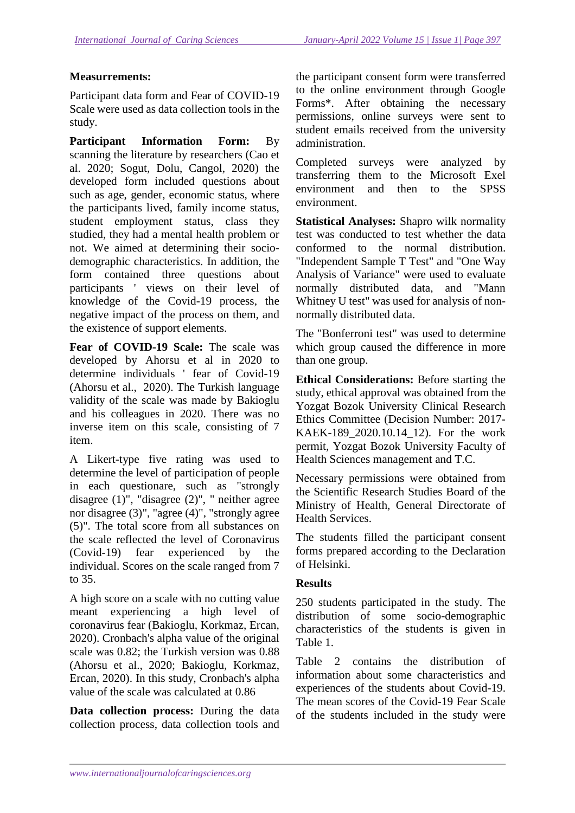### **Measurrements:**

Participant data form and Fear of COVID-19 Scale were used as data collection tools in the study.

**Participant Information Form:** By scanning the literature by researchers (Cao et al. 2020; Sogut, Dolu, Cangol, 2020) the developed form included questions about such as age, gender, economic status, where the participants lived, family income status, student employment status, class they studied, they had a mental health problem or not. We aimed at determining their sociodemographic characteristics. In addition, the form contained three questions about participants ' views on their level of knowledge of the Covid-19 process, the negative impact of the process on them, and the existence of support elements.

**Fear of COVID-19 Scale:** The scale was developed by Ahorsu et al in 2020 to determine individuals ' fear of Covid-19 (Ahorsu et al., 2020). The Turkish language validity of the scale was made by Bakioglu and his colleagues in 2020. There was no inverse item on this scale, consisting of 7 item.

A Likert-type five rating was used to determine the level of participation of people in each questionare, such as "strongly disagree (1)", "disagree (2)", " neither agree nor disagree (3)", "agree (4)", "strongly agree (5)". The total score from all substances on the scale reflected the level of Coronavirus (Covid-19) fear experienced by the individual. Scores on the scale ranged from 7 to 35.

A high score on a scale with no cutting value meant experiencing a high level of coronavirus fear (Bakioglu, Korkmaz, Ercan, 2020). Cronbach's alpha value of the original scale was 0.82; the Turkish version was 0.88 (Ahorsu et al., 2020; Bakioglu, Korkmaz, Ercan, 2020). In this study, Cronbach's alpha value of the scale was calculated at 0.86

**Data collection process:** During the data collection process, data collection tools and the participant consent form were transferred to the online environment through Google Forms\*. After obtaining the necessary permissions, online surveys were sent to student emails received from the university administration.

Completed surveys were analyzed by transferring them to the Microsoft Exel environment and then to the SPSS environment.

**Statistical Analyses:** Shapro wilk normality test was conducted to test whether the data conformed to the normal distribution. "Independent Sample T Test" and "One Way Analysis of Variance" were used to evaluate normally distributed data, and "Mann Whitney U test" was used for analysis of nonnormally distributed data.

The "Bonferroni test" was used to determine which group caused the difference in more than one group.

**Ethical Considerations:** Before starting the study, ethical approval was obtained from the Yozgat Bozok University Clinical Research Ethics Committee (Decision Number: 2017- KAEK-189 2020.10.14 12). For the work permit, Yozgat Bozok University Faculty of Health Sciences management and T.C.

Necessary permissions were obtained from the Scientific Research Studies Board of the Ministry of Health, General Directorate of Health Services.

The students filled the participant consent forms prepared according to the Declaration of Helsinki.

#### **Results**

250 students participated in the study. The distribution of some socio-demographic characteristics of the students is given in Table 1.

Table 2 contains the distribution of information about some characteristics and experiences of the students about Covid-19. The mean scores of the Covid-19 Fear Scale of the students included in the study were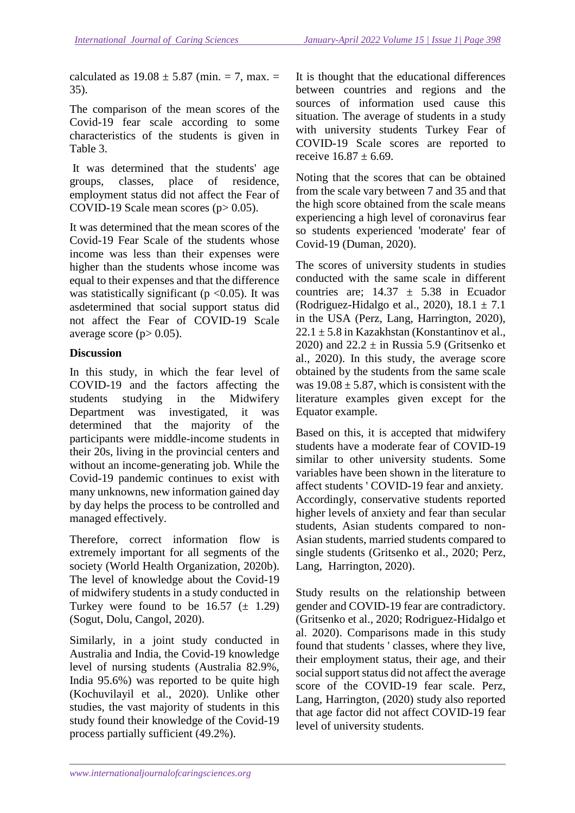calculated as  $19.08 \pm 5.87$  (min. = 7, max. = 35).

The comparison of the mean scores of the Covid-19 fear scale according to some characteristics of the students is given in Table 3.

 It was determined that the students' age groups, classes, place of residence, employment status did not affect the Fear of COVID-19 Scale mean scores  $(p> 0.05)$ .

It was determined that the mean scores of the Covid-19 Fear Scale of the students whose income was less than their expenses were higher than the students whose income was equal to their expenses and that the difference was statistically significant ( $p < 0.05$ ). It was asdetermined that social support status did not affect the Fear of COVID-19 Scale average score ( $p > 0.05$ ).

### **Discussion**

In this study, in which the fear level of COVID-19 and the factors affecting the students studying in the Midwifery Department was investigated, it was determined that the majority of the participants were middle-income students in their 20s, living in the provincial centers and without an income-generating job. While the Covid-19 pandemic continues to exist with many unknowns, new information gained day by day helps the process to be controlled and managed effectively.

Therefore, correct information flow is extremely important for all segments of the society (World Health Organization, 2020b). The level of knowledge about the Covid-19 of midwifery students in a study conducted in Turkey were found to be  $16.57 \ (\pm 1.29)$ (Sogut, Dolu, Cangol, 2020).

Similarly, in a joint study conducted in Australia and India, the Covid-19 knowledge level of nursing students (Australia 82.9%, India 95.6%) was reported to be quite high (Kochuvilayil et al., 2020). Unlike other studies, the vast majority of students in this study found their knowledge of the Covid-19 process partially sufficient (49.2%).

It is thought that the educational differences between countries and regions and the sources of information used cause this situation. The average of students in a study with university students Turkey Fear of COVID-19 Scale scores are reported to receive  $16.87 + 6.69$ .

Noting that the scores that can be obtained from the scale vary between 7 and 35 and that the high score obtained from the scale means experiencing a high level of coronavirus fear so students experienced 'moderate' fear of Covid-19 (Duman, 2020).

The scores of university students in studies conducted with the same scale in different countries are:  $14.37 + 5.38$  in Ecuador (Rodriguez-Hidalgo et al., 2020),  $18.1 \pm 7.1$ in the USA (Perz, Lang, Harrington, 2020),  $22.1 \pm 5.8$  in Kazakhstan (Konstantinov et al., 2020) and  $22.2 \pm in$  Russia 5.9 (Gritsenko et al., 2020). In this study, the average score obtained by the students from the same scale was  $19.08 \pm 5.87$ , which is consistent with the literature examples given except for the Equator example.

Based on this, it is accepted that midwifery students have a moderate fear of COVID-19 similar to other university students. Some variables have been shown in the literature to affect students ' COVID-19 fear and anxiety. Accordingly, conservative students reported higher levels of anxiety and fear than secular students, Asian students compared to non-Asian students, married students compared to single students (Gritsenko et al., 2020; Perz, Lang, Harrington, 2020).

Study results on the relationship between gender and COVID-19 fear are contradictory. (Gritsenko et al., 2020; Rodriguez-Hidalgo et al. 2020). Comparisons made in this study found that students ' classes, where they live, their employment status, their age, and their social support status did not affect the average score of the COVID-19 fear scale. Perz, Lang, Harrington, (2020) study also reported that age factor did not affect COVID-19 fear level of university students.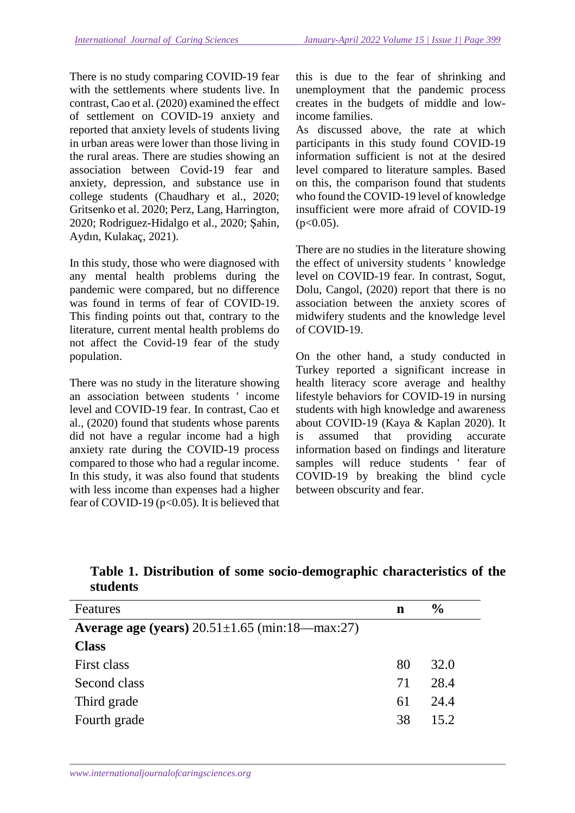There is no study comparing COVID-19 fear with the settlements where students live. In contrast, Cao et al. (2020) examined the effect of settlement on COVID-19 anxiety and reported that anxiety levels of students living in urban areas were lower than those living in the rural areas. There are studies showing an association between Covid-19 fear and anxiety, depression, and substance use in college students (Chaudhary et al., 2020; Gritsenko et al. 2020; Perz, Lang, Harrington, 2020; Rodriguez-Hidalgo et al., 2020; Şahin, Aydın, Kulakaç, 2021).

In this study, those who were diagnosed with any mental health problems during the pandemic were compared, but no difference was found in terms of fear of COVID-19. This finding points out that, contrary to the literature, current mental health problems do not affect the Covid-19 fear of the study population.

There was no study in the literature showing an association between students ' income level and COVID-19 fear. In contrast, Cao et al., (2020) found that students whose parents did not have a regular income had a high anxiety rate during the COVID-19 process compared to those who had a regular income. In this study, it was also found that students with less income than expenses had a higher fear of COVID-19 ( $p<0.05$ ). It is believed that this is due to the fear of shrinking and unemployment that the pandemic process creates in the budgets of middle and lowincome families.

As discussed above, the rate at which participants in this study found COVID-19 information sufficient is not at the desired level compared to literature samples. Based on this, the comparison found that students who found the COVID-19 level of knowledge insufficient were more afraid of COVID-19  $(p<0.05)$ .

There are no studies in the literature showing the effect of university students ' knowledge level on COVID-19 fear. In contrast, Sogut, Dolu, Cangol, (2020) report that there is no association between the anxiety scores of midwifery students and the knowledge level of COVID-19.

On the other hand, a study conducted in Turkey reported a significant increase in health literacy score average and healthy lifestyle behaviors for COVID-19 in nursing students with high knowledge and awareness about COVID-19 (Kaya & Kaplan 2020). It is assumed that providing accurate information based on findings and literature samples will reduce students ' fear of COVID-19 by breaking the blind cycle between obscurity and fear.

| Features                                                    | n  | $\frac{6}{9}$ |
|-------------------------------------------------------------|----|---------------|
| <b>Average age (years)</b> $20.51 \pm 1.65$ (min:18—max:27) |    |               |
| <b>Class</b>                                                |    |               |
| First class                                                 | 80 | 32.0          |
| Second class                                                | 71 | 28.4          |
| Third grade                                                 | 61 | 24.4          |
| Fourth grade                                                | 38 | 15.2          |

**Table 1. Distribution of some socio-demographic characteristics of the students**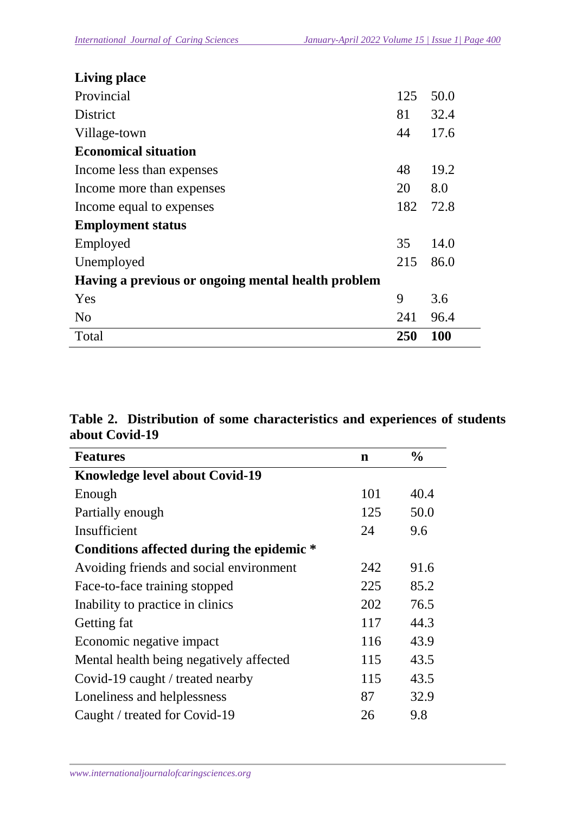| <b>Living place</b>                                |     |            |  |  |
|----------------------------------------------------|-----|------------|--|--|
| Provincial                                         | 125 | 50.0       |  |  |
| District                                           | 81  | 32.4       |  |  |
| Village-town                                       | 44  | 17.6       |  |  |
| <b>Economical situation</b>                        |     |            |  |  |
| Income less than expenses                          | 48  | 19.2       |  |  |
| Income more than expenses                          | 20  | 8.0        |  |  |
| Income equal to expenses                           | 182 | 72.8       |  |  |
| <b>Employment status</b>                           |     |            |  |  |
| Employed                                           | 35  | 14.0       |  |  |
| Unemployed                                         | 215 | 86.0       |  |  |
| Having a previous or ongoing mental health problem |     |            |  |  |
| Yes                                                | 9   | 3.6        |  |  |
| N <sub>o</sub>                                     | 241 | 96.4       |  |  |
| Total                                              | 250 | <b>100</b> |  |  |

# **Table 2. Distribution of some characteristics and experiences of students about Covid-19**

| <b>Features</b>                           | $\mathbf n$ | $\frac{0}{0}$ |
|-------------------------------------------|-------------|---------------|
| <b>Knowledge level about Covid-19</b>     |             |               |
| Enough                                    | 101         | 40.4          |
| Partially enough                          | 125         | 50.0          |
| Insufficient                              | 24          | 9.6           |
| Conditions affected during the epidemic * |             |               |
| Avoiding friends and social environment   | 242         | 91.6          |
| Face-to-face training stopped             | 225         | 85.2          |
| Inability to practice in clinics          | 202         | 76.5          |
| Getting fat                               | 117         | 44.3          |
| Economic negative impact                  | 116         | 43.9          |
| Mental health being negatively affected   | 115         | 43.5          |
| Covid-19 caught / treated nearby          | 115         | 43.5          |
| Loneliness and helplessness               | 87          | 32.9          |
| Caught / treated for Covid-19             | 26          | 9.8           |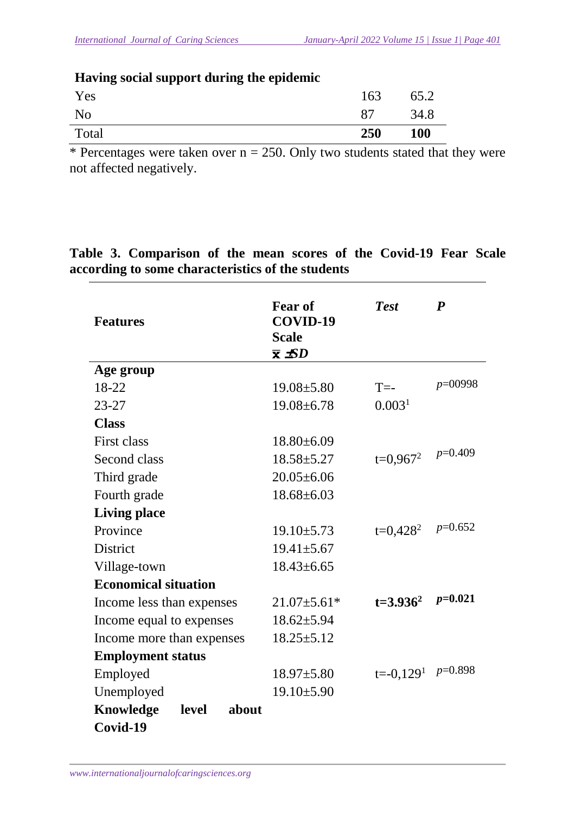| Traving social support uuring the epiuchine |     |            |  |
|---------------------------------------------|-----|------------|--|
| Yes                                         | 163 | 65.2       |  |
| N <sub>0</sub>                              | 87  | 34.8       |  |
| Total                                       | 250 | <b>100</b> |  |

**Having social support during the epidemic** 

\* Percentages were taken over  $n = 250$ . Only two students stated that they were not affected negatively.

| <b>Features</b>                    | <b>Fear of</b><br>COVID-19<br><b>Scale</b><br>$\bar{x}$ $\pm SD$ | <b>Test</b>        | $\boldsymbol{P}$ |
|------------------------------------|------------------------------------------------------------------|--------------------|------------------|
| Age group                          |                                                                  |                    |                  |
| 18-22                              | $19.08 \pm 5.80$                                                 | $T = -$            | $p=00998$        |
| $23 - 27$                          | $19.08 \pm 6.78$                                                 | 0.003 <sup>1</sup> |                  |
| <b>Class</b>                       |                                                                  |                    |                  |
| <b>First class</b>                 | $18.80\pm 6.09$                                                  |                    |                  |
| Second class                       | $18.58 \pm 5.27$                                                 | $t=0,967^2$        | $p=0.409$        |
| Third grade                        | $20.05 \pm 6.06$                                                 |                    |                  |
| Fourth grade                       | $18.68 \pm 6.03$                                                 |                    |                  |
| <b>Living place</b>                |                                                                  |                    |                  |
| Province                           | $19.10 \pm 5.73$                                                 | $t=0,428^2$        | $p=0.652$        |
| <b>District</b>                    | $19.41 \pm 5.67$                                                 |                    |                  |
| Village-town                       | $18.43 \pm 6.65$                                                 |                    |                  |
| <b>Economical situation</b>        |                                                                  |                    |                  |
| Income less than expenses          | $21.07 \pm 5.61*$                                                | $t=3.936^2$        | $p=0.021$        |
| Income equal to expenses           | $18.62{\pm}5.94$                                                 |                    |                  |
| Income more than expenses          | $18.25 \pm 5.12$                                                 |                    |                  |
| <b>Employment status</b>           |                                                                  |                    |                  |
| Employed                           | $18.97 \pm 5.80$                                                 | $t = -0.1291$      | $p=0.898$        |
| Unemployed                         | $19.10 \pm 5.90$                                                 |                    |                  |
| <b>Knowledge</b><br>level<br>about |                                                                  |                    |                  |
| Covid-19                           |                                                                  |                    |                  |

**Table 3. Comparison of the mean scores of the Covid-19 Fear Scale according to some characteristics of the students**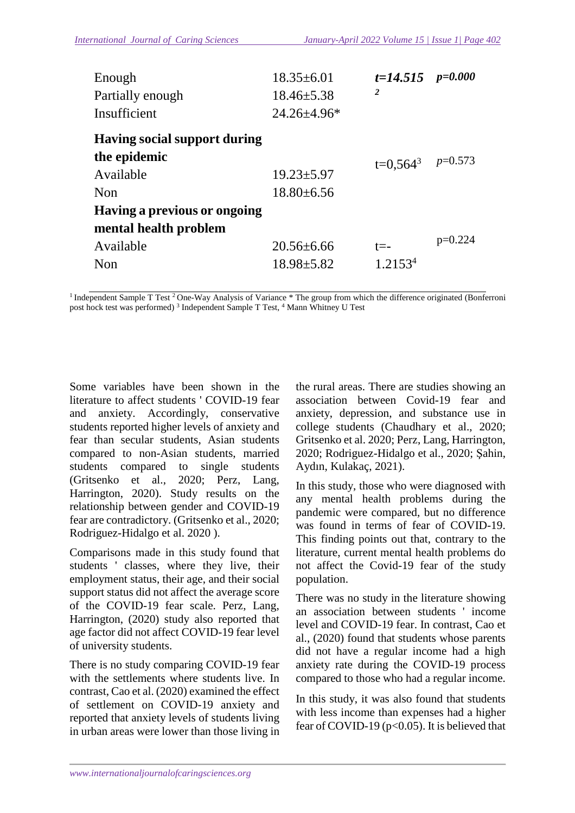| Enough<br>Partially enough<br>Insufficient                                                              | $18.35 \pm 6.01$<br>$18.46 \pm 5.38$<br>$24.26 \pm 4.96^*$ | $t=14.515$ $p=0.000$<br>2 |           |
|---------------------------------------------------------------------------------------------------------|------------------------------------------------------------|---------------------------|-----------|
| <b>Having social support during</b><br>the epidemic<br>Available<br>Non<br>Having a previous or ongoing | $19.23 \pm 5.97$<br>$18.80\pm 6.56$                        | $t=0.564^3$ $p=0.573$     |           |
| mental health problem<br>Available<br>Non                                                               | $20.56 \pm 6.66$<br>$18.98 \pm 5.82$                       | t=-<br>1.21534            | $p=0.224$ |

<sup>1</sup> Independent Sample T Test <sup>2</sup> One-Way Analysis of Variance \* The group from which the difference originated (Bonferroni post hock test was performed)<sup>3</sup> Independent Sample T Test, <sup>4</sup> Mann Whitney U Test

Some variables have been shown in the literature to affect students ' COVID-19 fear and anxiety. Accordingly, conservative students reported higher levels of anxiety and fear than secular students, Asian students compared to non-Asian students, married students compared to single students (Gritsenko et al., 2020; Perz, Lang, Harrington, 2020). Study results on the relationship between gender and COVID-19 fear are contradictory. (Gritsenko et al., 2020; Rodriguez-Hidalgo et al. 2020 ).

Comparisons made in this study found that students ' classes, where they live, their employment status, their age, and their social support status did not affect the average score of the COVID-19 fear scale. Perz, Lang, Harrington, (2020) study also reported that age factor did not affect COVID-19 fear level of university students.

There is no study comparing COVID-19 fear with the settlements where students live. In contrast, Cao et al. (2020) examined the effect of settlement on COVID-19 anxiety and reported that anxiety levels of students living in urban areas were lower than those living in

the rural areas. There are studies showing an association between Covid-19 fear and anxiety, depression, and substance use in college students (Chaudhary et al., 2020; Gritsenko et al. 2020; Perz, Lang, Harrington, 2020; Rodriguez-Hidalgo et al., 2020; Şahin, Aydın, Kulakaç, 2021).

In this study, those who were diagnosed with any mental health problems during the pandemic were compared, but no difference was found in terms of fear of COVID-19. This finding points out that, contrary to the literature, current mental health problems do not affect the Covid-19 fear of the study population.

There was no study in the literature showing an association between students ' income level and COVID-19 fear. In contrast, Cao et al., (2020) found that students whose parents did not have a regular income had a high anxiety rate during the COVID-19 process compared to those who had a regular income.

In this study, it was also found that students with less income than expenses had a higher fear of COVID-19 ( $p<0.05$ ). It is believed that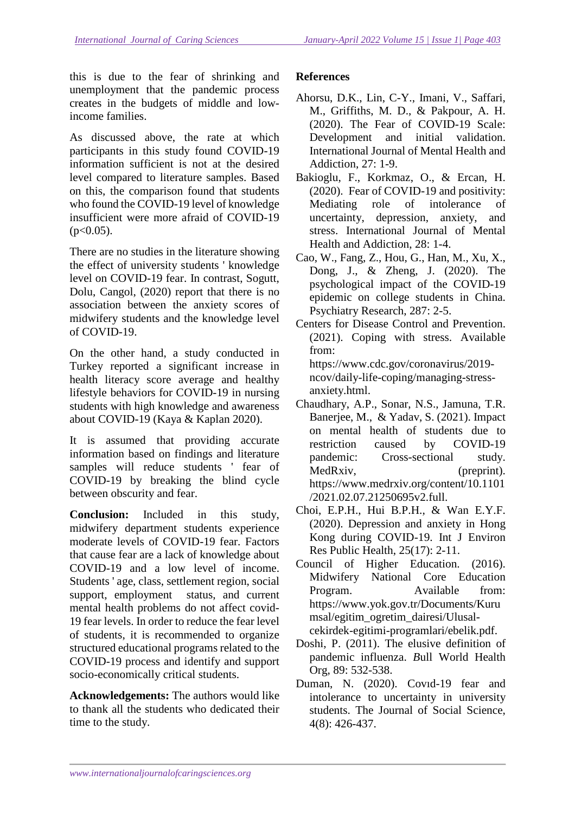this is due to the fear of shrinking and unemployment that the pandemic process creates in the budgets of middle and lowincome families.

As discussed above, the rate at which participants in this study found COVID-19 information sufficient is not at the desired level compared to literature samples. Based on this, the comparison found that students who found the COVID-19 level of knowledge insufficient were more afraid of COVID-19  $(p<0.05)$ .

There are no studies in the literature showing the effect of university students ' knowledge level on COVID-19 fear. In contrast, Sogutt, Dolu, Cangol, (2020) report that there is no association between the anxiety scores of midwifery students and the knowledge level of COVID-19.

On the other hand, a study conducted in Turkey reported a significant increase in health literacy score average and healthy lifestyle behaviors for COVID-19 in nursing students with high knowledge and awareness about COVID-19 (Kaya & Kaplan 2020).

It is assumed that providing accurate information based on findings and literature samples will reduce students ' fear of COVID-19 by breaking the blind cycle between obscurity and fear.

**Conclusion:** Included in this study, midwifery department students experience moderate levels of COVID-19 fear. Factors that cause fear are a lack of knowledge about COVID-19 and a low level of income. Students ' age, class, settlement region, social support, employment status, and current mental health problems do not affect covid-19 fear levels. In order to reduce the fear level of students, it is recommended to organize structured educational programs related to the COVID-19 process and identify and support socio-economically critical students.

**Acknowledgements:** The authors would like to thank all the students who dedicated their time to the study.

## **References**

- Ahorsu, D.K., Lin, C-Y., Imani, V., Saffari, M., Griffiths, M. D., & Pakpour, A. H. (2020). The Fear of COVID-19 Scale: Development and initial validation. International Journal of Mental Health and Addiction, 27: 1-9.
- Bakioglu, F., Korkmaz, O., & Ercan, H. (2020). Fear of COVID-19 and positivity: Mediating role of intolerance of uncertainty, depression, anxiety, and stress. International Journal of Mental Health and Addiction, 28: 1-4.
- Cao, W., Fang, Z., Hou, G., Han, M., Xu, X., Dong, J., & Zheng, J. (2020). The psychological impact of the COVID-19 epidemic on college students in China. Psychiatry Research, 287: 2-5.
- Centers for Disease Control and Prevention. (2021). Coping with stress. Available from:

https://www.cdc.gov/coronavirus/2019 ncov/daily-life-coping/managing-stressanxiety.html.

- Chaudhary, A.P., Sonar, N.S., Jamuna, T.R. Banerjee, M., & Yadav, S. (2021). Impact on mental health of students due to restriction caused by COVID-19 pandemic: Cross-sectional study. MedRxiv, (preprint). https://www.medrxiv.org/content/10.1101 /2021.02.07.21250695v2.full.
- Choi, E.P.H., Hui B.P.H., & Wan E.Y.F. (2020). Depression and anxiety in Hong Kong during COVID-19. Int J Environ Res Public Health, 25(17): 2-11.
- Council of Higher Education. (2016). Midwifery National Core Education Program. Available from: https://www.yok.gov.tr/Documents/Kuru msal/egitim\_ogretim\_dairesi/Ulusalcekirdek-egitimi-programlari/ebelik.pdf.
- Doshi, P. (2011). The elusive definition of pandemic influenza. *B*ull World Health Org, 89: 532-538.
- Duman, N. (2020). Covıd-19 fear and intolerance to uncertainty in university students. The Journal of Social Science, 4(8): 426-437.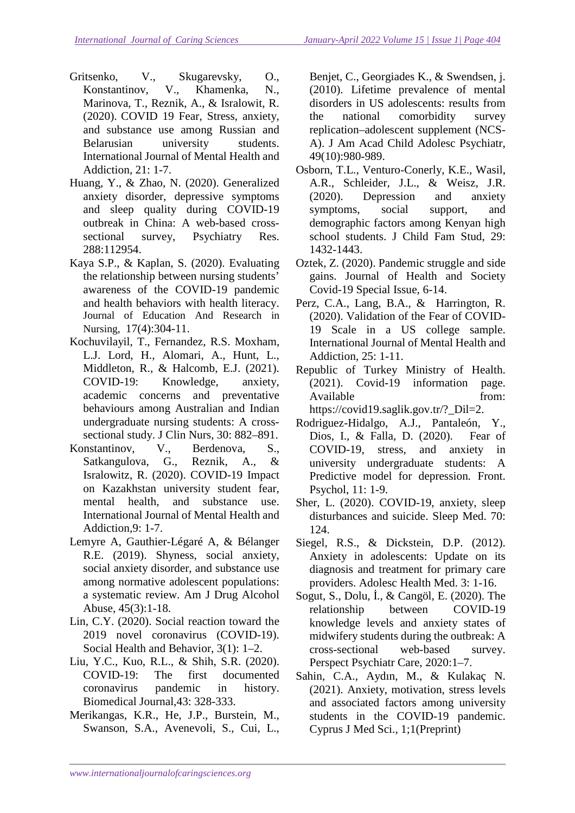- Gritsenko, V., Skugarevsky, O., Konstantinov, V., Khamenka, N., Marinova, T., Reznik, A., & Isralowit, R. (2020). COVID 19 Fear, Stress, anxiety, and substance use among Russian and Belarusian university students. International Journal of Mental Health and Addiction, 21: 1-7.
- Huang, Y., & Zhao, N. (2020). Generalized anxiety disorder, depressive symptoms and sleep quality during COVID-19 outbreak in China: A web-based crosssectional survey, Psychiatry Res. 288:112954.
- Kaya S.P., & Kaplan, S. (2020). Evaluating the relationship between nursing students' awareness of the COVID-19 pandemic and health behaviors with health literacy. Journal of Education And Research in Nursing, 17(4):304-11.
- Kochuvilayil, T., Fernandez, R.S. Moxham, L.J. Lord, H., Alomari, A., Hunt, L., Middleton, R., & Halcomb, E.J. (2021). COVID-19: Knowledge, anxiety, academic concerns and preventative behaviours among Australian and Indian undergraduate nursing students: A crosssectional study. J Clin Nurs, 30: 882–891.
- Konstantinov, V., Berdenova, S., Satkangulova, G., Reznik, A., & Isralowitz, R. (2020). COVID-19 Impact on Kazakhstan university student fear, mental health, and substance use. International Journal of Mental Health and Addiction*,*9: 1-7.
- Lemyre A, Gauthier‐Légaré A, & Bélanger R.E. (2019). Shyness, social anxiety, social anxiety disorder, and substance use among normative adolescent populations: a systematic review. Am J Drug Alcohol Abuse, 45(3):1‐18.
- Lin, C.Y. (2020). Social reaction toward the 2019 novel coronavirus (COVID-19). Social Health and Behavior, 3(1): 1–2.
- Liu, Y.C., Kuo, R.L., & Shih, S.R. (2020). COVID-19: The first documented coronavirus pandemic in history. Biomedical Journal,43: 328-333.
- Merikangas, K.R., He, J.P., Burstein, M., Swanson, S.A., Avenevoli, S., Cui, L.,

Benjet, C., Georgiades K., & Swendsen, j. (2010). Lifetime prevalence of mental disorders in US adolescents: results from the national comorbidity survey replication–adolescent supplement (NCS‐ A). J Am Acad Child Adolesc Psychiatr, 49(10):980‐989.

- Osborn, T.L., Venturo‐Conerly, K.E., Wasil, A.R., Schleider, J.L., & Weisz, J.R. (2020). Depression and anxiety symptoms, social support, and demographic factors among Kenyan high school students. J Child Fam Stud, 29: 1432‐1443.
- Oztek, Z. (2020). Pandemic struggle and side gains. Journal of Health and Society Covid-19 Special Issue, 6-14.
- Perz, C.A., Lang, B.A., & Harrington, R. (2020). Validation of the Fear of COVID-19 Scale in a US college sample. International Journal of Mental Health and Addiction, 25: 1-11.
- Republic of Turkey Ministry of Health. (2021). Covid-19 information page. Available from: https://covid19.saglik.gov.tr/?\_Dil=2.
- Rodriguez-Hidalgo, A.J., Pantaleón, Y., Dios, I., & Falla, D. (2020). Fear of COVID-19, stress, and anxiety in university undergraduate students: A Predictive model for depression*.* Front. Psychol, 11: 1-9.
- Sher, L. (2020). COVID-19, anxiety, sleep disturbances and suicide. Sleep Med. 70: 124.
- Siegel, R.S., & Dickstein, D.P. (2012). Anxiety in adolescents: Update on its diagnosis and treatment for primary care providers. Adolesc Health Med. 3: 1‐16.
- Sogut, S., Dolu, İ., & Cangöl, E. (2020). The relationship between COVID‐19 knowledge levels and anxiety states of midwifery students during the outbreak: A cross‐sectional web‐based survey. Perspect Psychiatr Care, 2020:1–7.
- Sahin, C.A., Aydın, M., & Kulakaç N. (2021). Anxiety, motivation, stress levels and associated factors among university students in the COVID-19 pandemic. Cyprus J Med Sci., 1;1(Preprint)